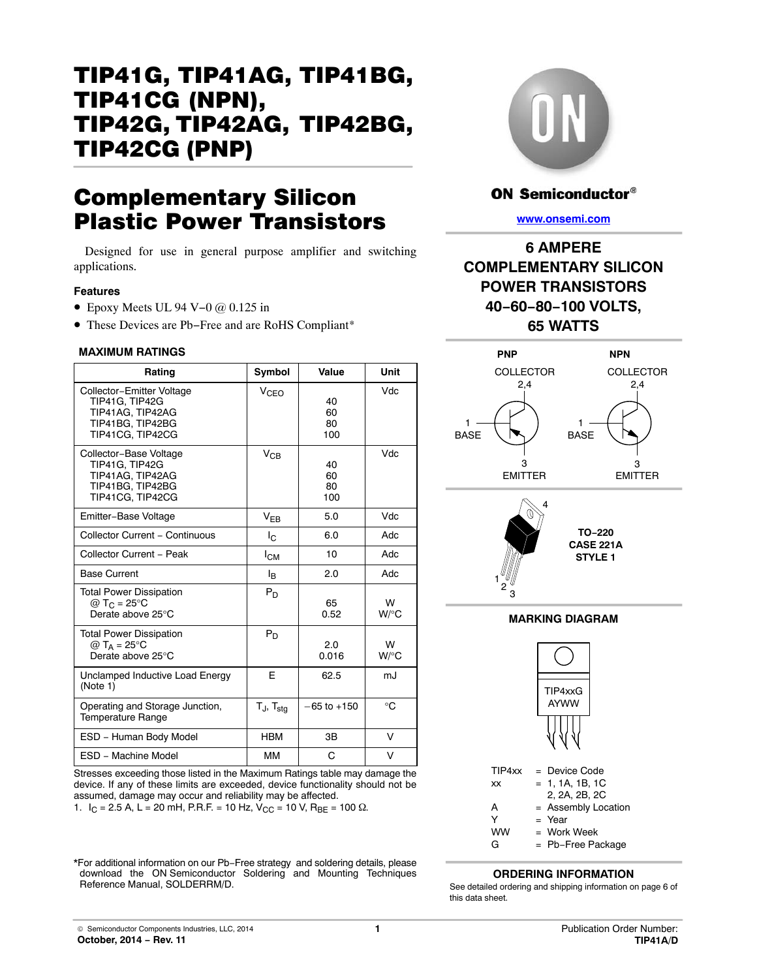# TIP41G, TIP41AG, TIP41BG, TIP41CG (NPN), TIP42G, TIP42AG, TIP42BG, TIP42CG-(PNP)

# Complementary Silicon Plastic Power Transistors

Designed for use in general purpose amplifier and switching applications.

#### **Features**

- Epoxy Meets UL 94 V−0 @ 0.125 in
- These Devices are Pb−Free and are RoHS Compliant\*

#### **MAXIMUM RATINGS**

| Rating                                                                                                  | Symbol            | Value                 | Unit         |
|---------------------------------------------------------------------------------------------------------|-------------------|-----------------------|--------------|
| Collector-Emitter Voltage<br>TIP41G, TIP42G<br>TIP41AG, TIP42AG<br>TIP41BG, TIP42BG<br>TIP41CG, TIP42CG | V <sub>CFO</sub>  | 40<br>60<br>80<br>100 | Vdc          |
| Collector-Base Voltage<br>TIP41G, TIP42G<br>TIP41AG, TIP42AG<br>TIP41BG, TIP42BG<br>TIP41CG. TIP42CG    | $\rm V_{CB}$      | 40<br>60<br>80<br>100 | Vdc          |
| Emitter-Base Voltage                                                                                    | $V_{EB}$          | 5.0                   | Vdc          |
| Collector Current - Continuous                                                                          | Ιc                | 6.0                   | Adc          |
| Collector Current - Peak                                                                                | Iсм               | 10                    | Adc          |
| <b>Base Current</b>                                                                                     | l <sub>B</sub>    | 2.0                   | Adc          |
| <b>Total Power Dissipation</b><br>@ T <sub>C</sub> = $25^{\circ}$ C<br>Derate above 25°C                | $P_D$             | 65<br>0.52            | W<br>W/°C    |
| <b>Total Power Dissipation</b><br>$@T_A = 25^\circ C$<br>Derate above 25°C                              | $P_D$             | 2.0<br>0.016          | w<br>$W$ /°C |
| Unclamped Inductive Load Energy<br>(Note 1)                                                             | F                 | 62.5                  | mJ           |
| Operating and Storage Junction,<br><b>Temperature Range</b>                                             | $T_J$ , $T_{stg}$ | $-65$ to $+150$       | °C           |
| ESD - Human Body Model                                                                                  | <b>HBM</b>        | 3B                    | v            |
| ESD - Machine Model                                                                                     | MМ                | C                     | v            |

Stresses exceeding those listed in the Maximum Ratings table may damage the device. If any of these limits are exceeded, device functionality should not be assumed, damage may occur and reliability may be affected. 1.  $I_C = 2.5$  A, L = 20 mH, P.R.F. = 10 Hz,  $V_{CC} = 10$  V,  $R_{BE} = 100 \Omega$ .

\*For additional information on our Pb−Free strategy and soldering details, please download the ON Semiconductor Soldering and Mounting Techniques Reference Manual, SOLDERRM/D.



## **ON Semiconductor®**

**[www.onsemi.com]( http://www.onsemi.com/)**

## **6 AMPERE COMPLEMENTARY SILICON POWER TRANSISTORS 40−60−80−100 VOLTS, 65 WATTS**



## **ORDERING INFORMATION**

See detailed ordering and shipping information on page [6](#page-5-0) of this data sheet.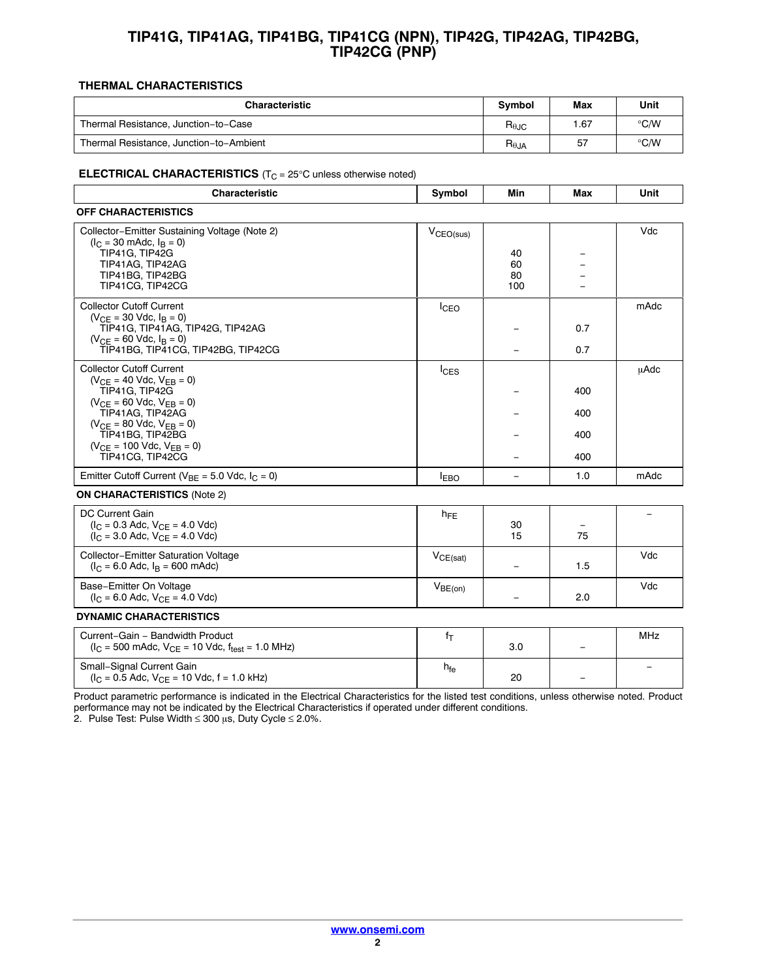## **TIP41G, TIP41AG, TIP41BG, TIP41CG (NPN), TIP42G, TIP42AG, TIP42BG, TIP42CG (PNP)**

### **THERMAL CHARACTERISTICS**

| <b>Characteristic</b>                   | Symbol         | Max | Unit |
|-----------------------------------------|----------------|-----|------|
| Thermal Resistance, Junction-to-Case    | $R_{\theta$ JC | .67 | °C/W |
| Thermal Resistance, Junction-to-Ambient | $R_{\theta$ JA | 57  | °C/W |

#### **ELECTRICAL CHARACTERISTICS** (T<sub>C</sub> = 25°C unless otherwise noted)

| <b>Characteristic</b>                                                                                                                                                                                                                                              | Symbol         | Min                   | Max                      | Unit        |
|--------------------------------------------------------------------------------------------------------------------------------------------------------------------------------------------------------------------------------------------------------------------|----------------|-----------------------|--------------------------|-------------|
| <b>OFF CHARACTERISTICS</b>                                                                                                                                                                                                                                         |                |                       |                          |             |
| Collector-Emitter Sustaining Voltage (Note 2)<br>$(I_C = 30 \text{ m}$ Adc, $I_B = 0$ )<br>TIP41G, TIP42G<br>TIP41AG, TIP42AG<br>TIP41BG, TIP42BG<br>TIP41CG. TIP42CG                                                                                              | $V_{CEO(sus)}$ | 40<br>60<br>80<br>100 |                          | Vdc         |
| <b>Collector Cutoff Current</b><br>$(V_{CE} = 30$ Vdc, $I_B = 0$ )<br>TIP41G, TIP41AG, TIP42G, TIP42AG<br>$(V_{CF} = 60$ Vdc, $I_B = 0$ )<br>TIP41BG, TIP41CG, TIP42BG, TIP42CG                                                                                    | <b>I</b> CEO   |                       | 0.7<br>0.7               | mAdc        |
| <b>Collector Cutoff Current</b><br>$(V_{CE} = 40$ Vdc, $V_{EB} = 0)$<br>TIP41G, TIP42G<br>$(V_{CF} = 60$ Vdc, $V_{FB} = 0)$<br>TIP41AG, TIP42AG<br>$(V_{CE} = 80$ Vdc, $V_{EB} = 0)$<br>TIP41BG. TIP42BG<br>$(V_{CE} = 100$ Vdc, $V_{EB} = 0)$<br>TIP41CG, TIP42CG | <b>I</b> CES   |                       | 400<br>400<br>400<br>400 | <b>µAdc</b> |
| Emitter Cutoff Current ( $V_{BE}$ = 5.0 Vdc, $I_C$ = 0)                                                                                                                                                                                                            | <b>IEBO</b>    | $\qquad \qquad -$     | 1.0                      | mAdc        |
| <b>ON CHARACTERISTICS (Note 2)</b>                                                                                                                                                                                                                                 |                |                       |                          |             |
| DC Current Gain<br>$(I_C = 0.3$ Adc, $V_{CF} = 4.0$ Vdc)<br>$(I_C = 3.0$ Adc, $V_{CF} = 4.0$ Vdc)                                                                                                                                                                  | $h_{FE}$       | 30<br>15              | 75                       |             |
| <b>Collector-Emitter Saturation Voltage</b>                                                                                                                                                                                                                        | $V_{CE(sat)}$  |                       |                          | Vdc         |

− 1.5

− 2.0

3.0 −

20 −

Vdc

MHz

−

 $V<sub>BE(on)</sub>$ 

 $f_T$ 

 $h_{fe}$ 

performance may not be indicated by the Electrical Characteristics if operated under different conditions. 2. Pulse Test: Pulse Width  $\leq 300 \mu s$ , Duty Cycle  $\leq 2.0\%$ .

 $(I_C = 500 \text{ m}$ Adc,  $V_{CE} = 10 \text{ V}$ dc,  $f_{test} = 1.0 \text{ MHz}$ 

 $(I_C = 0.5$  Adc,  $V_{CE} = 10$  Vdc,  $f = 1.0$  kHz)

 $(I_C = 6.0$  Adc,  $I_B = 600$  mAdc)

**DYNAMIC CHARACTERISTICS** Current−Gain − Bandwidth Product

Small−Signal Current Gain

Base−Emitter On Voltage  $(I_C = 6.0$  Adc,  $V_{CE} = 4.0$  Vdc)

Product parametric performance is indicated in the Electrical Characteristics for the listed test conditions, unless otherwise noted. Product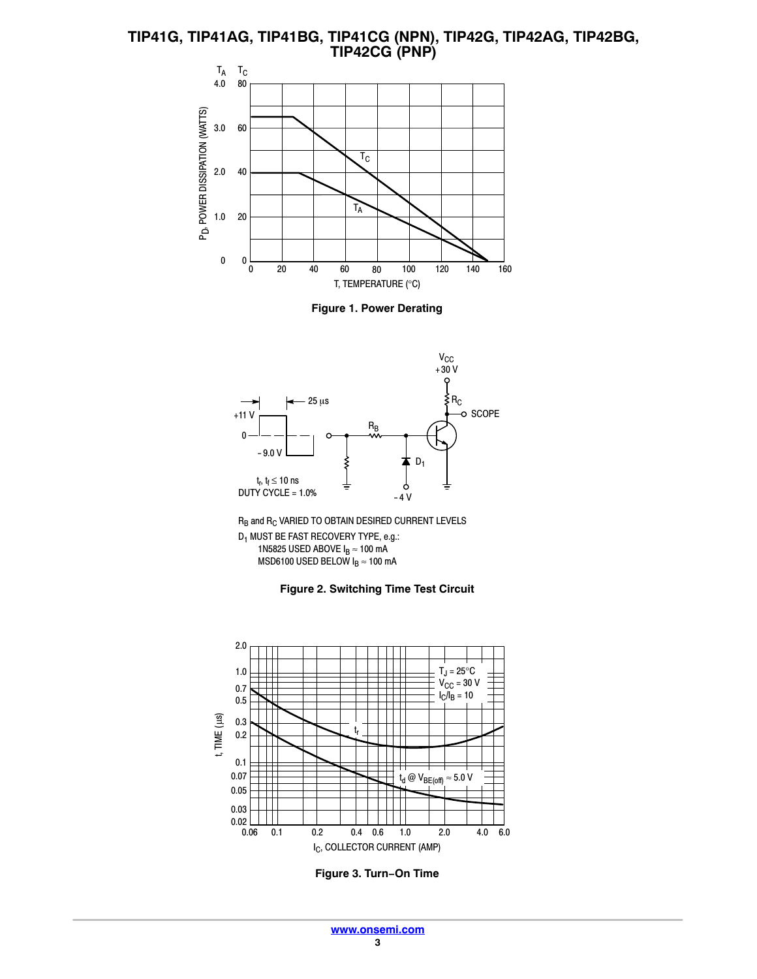**TIP41G, TIP41AG, TIP41BG, TIP41CG (NPN), TIP42G, TIP42AG, TIP42BG, TIP42CG (PNP)**



**Figure 1. Power Derating**



 $R_B$  and  $R_C$  VARIED TO OBTAIN DESIRED CURRENT LEVELS D1 MUST BE FAST RECOVERY TYPE, e.g.: 1N5825 USED ABOVE  $I_B \approx 100$  mA MSD6100 USED BELOW  $I_B \approx 100$  mA





**Figure 3. Turn−On Time**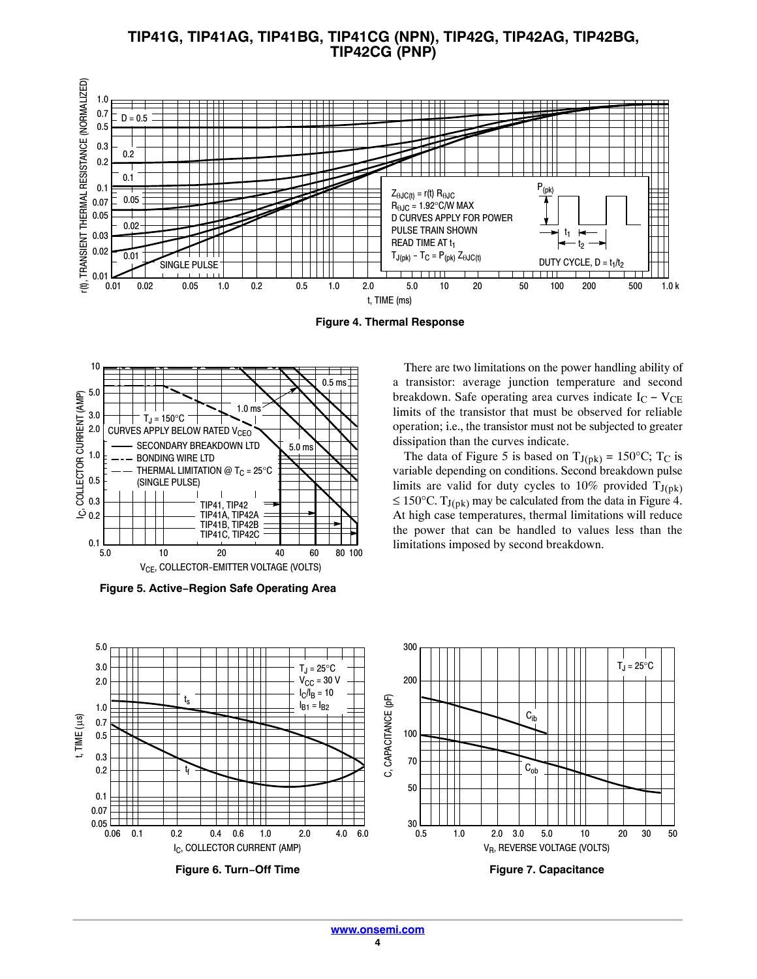**TIP41G, TIP41AG, TIP41BG, TIP41CG (NPN), TIP42G, TIP42AG, TIP42BG, TIP42CG (PNP)**



**Figure 4. Thermal Response**



**Figure 5. Active−Region Safe Operating Area**

There are two limitations on the power handling ability of a transistor: average junction temperature and second breakdown. Safe operating area curves indicate  $I_C - V_{CE}$ limits of the transistor that must be observed for reliable operation; i.e., the transistor must not be subjected to greater dissipation than the curves indicate.

The data of Figure 5 is based on  $T_{J(pk)} = 150^{\circ}C$ ; T<sub>C</sub> is variable depending on conditions. Second breakdown pulse limits are valid for duty cycles to 10% provided  $T_{J(pk)}$ ≤ 150°C. T<sub>J(pk)</sub> may be calculated from the data in Figure 4. At high case temperatures, thermal limitations will reduce the power that can be handled to values less than the limitations imposed by second breakdown.

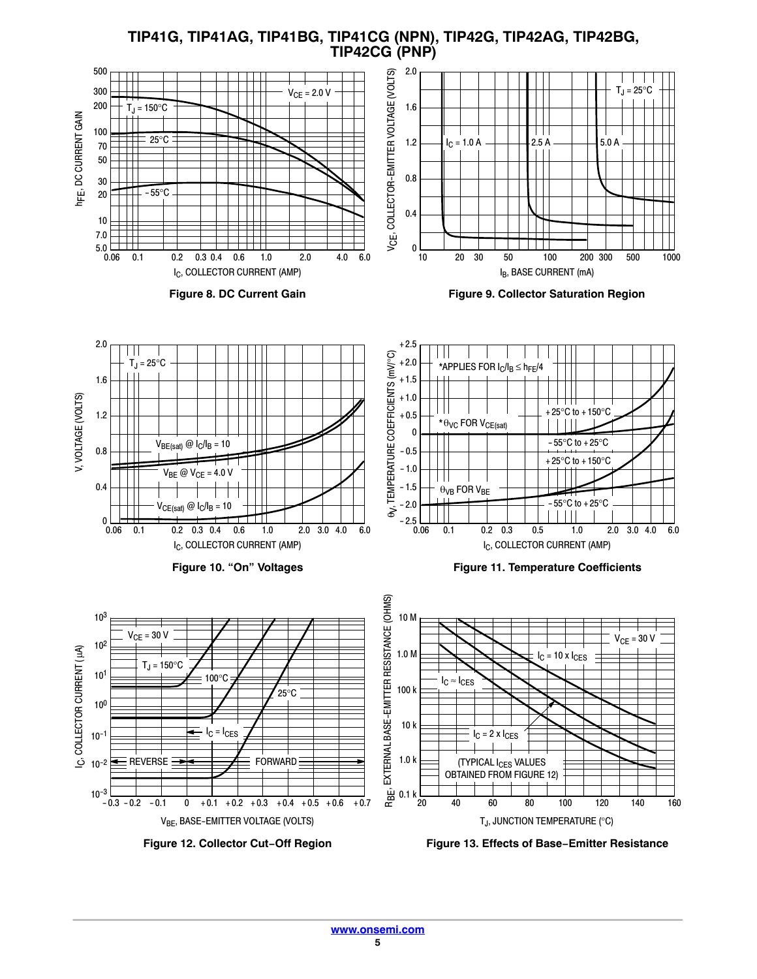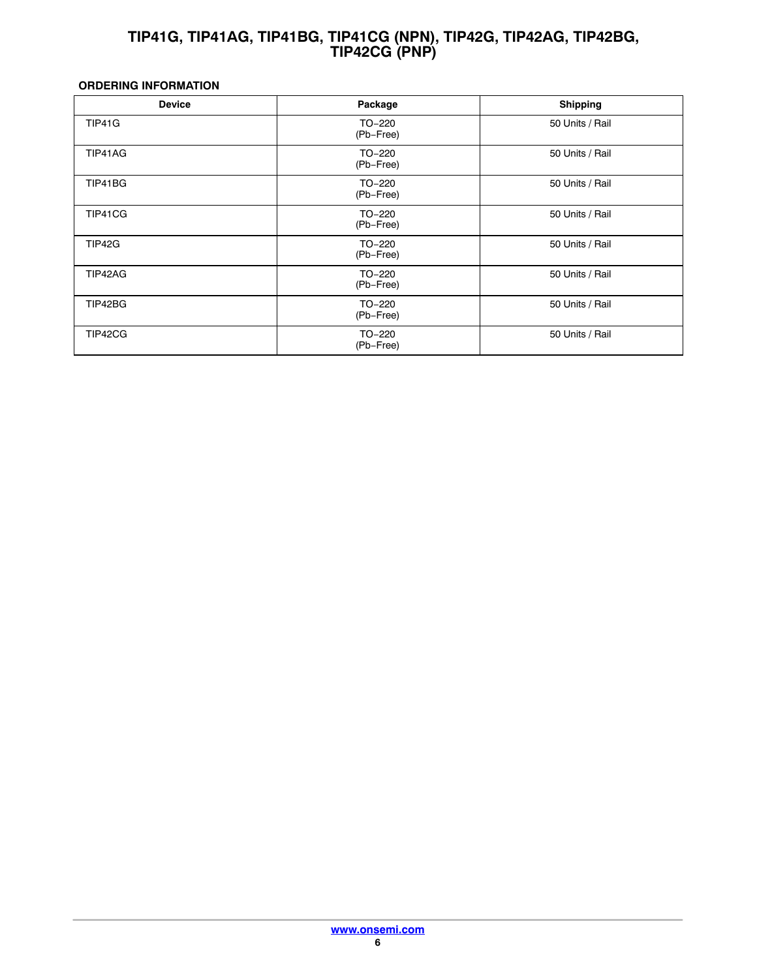## **TIP41G, TIP41AG, TIP41BG, TIP41CG (NPN), TIP42G, TIP42AG, TIP42BG, TIP42CG (PNP)**

## <span id="page-5-0"></span>**ORDERING INFORMATION**

| <b>Device</b> | Package             | <b>Shipping</b> |
|---------------|---------------------|-----------------|
| TIP41G        | TO-220<br>(Pb-Free) | 50 Units / Rail |
| TIP41AG       | TO-220<br>(Pb-Free) | 50 Units / Rail |
| TIP41BG       | TO-220<br>(Pb-Free) | 50 Units / Rail |
| TIP41CG       | TO-220<br>(Pb-Free) | 50 Units / Rail |
| TIP42G        | TO-220<br>(Pb-Free) | 50 Units / Rail |
| TIP42AG       | TO-220<br>(Pb-Free) | 50 Units / Rail |
| TIP42BG       | TO-220<br>(Pb-Free) | 50 Units / Rail |
| TIP42CG       | TO-220<br>(Pb-Free) | 50 Units / Rail |